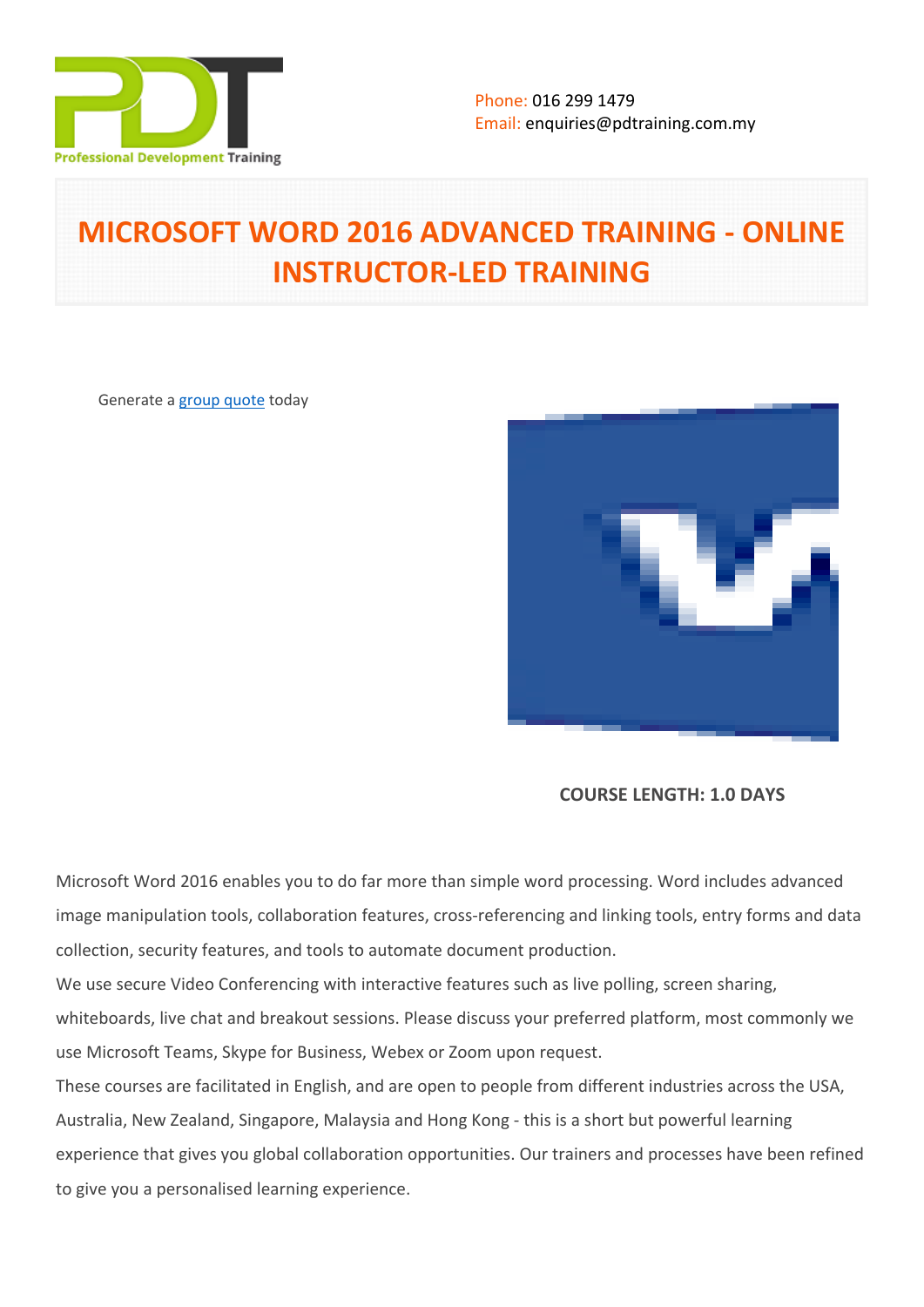

# **MICROSOFT WORD 2016 ADVANCED TRAINING - ONLINE INSTRUCTOR-LED TRAINING**

Generate a [group quote](https://pdtraining.com.my/inhouse-training-quote?cse=PDTM031_C) today



**COURSE LENGTH: 1.0 DAYS**

Microsoft Word 2016 enables you to do far more than simple word processing. Word includes advanced image manipulation tools, collaboration features, cross-referencing and linking tools, entry forms and data collection, security features, and tools to automate document production.

We use secure Video Conferencing with interactive features such as live polling, screen sharing, whiteboards, live chat and breakout sessions. Please discuss your preferred platform, most commonly we use Microsoft Teams, Skype for Business, Webex or Zoom upon request.

These courses are facilitated in English, and are open to people from different industries across the USA, Australia, New Zealand, Singapore, Malaysia and Hong Kong - this is a short but powerful learning experience that gives you global collaboration opportunities. Our trainers and processes have been refined to give you a personalised learning experience.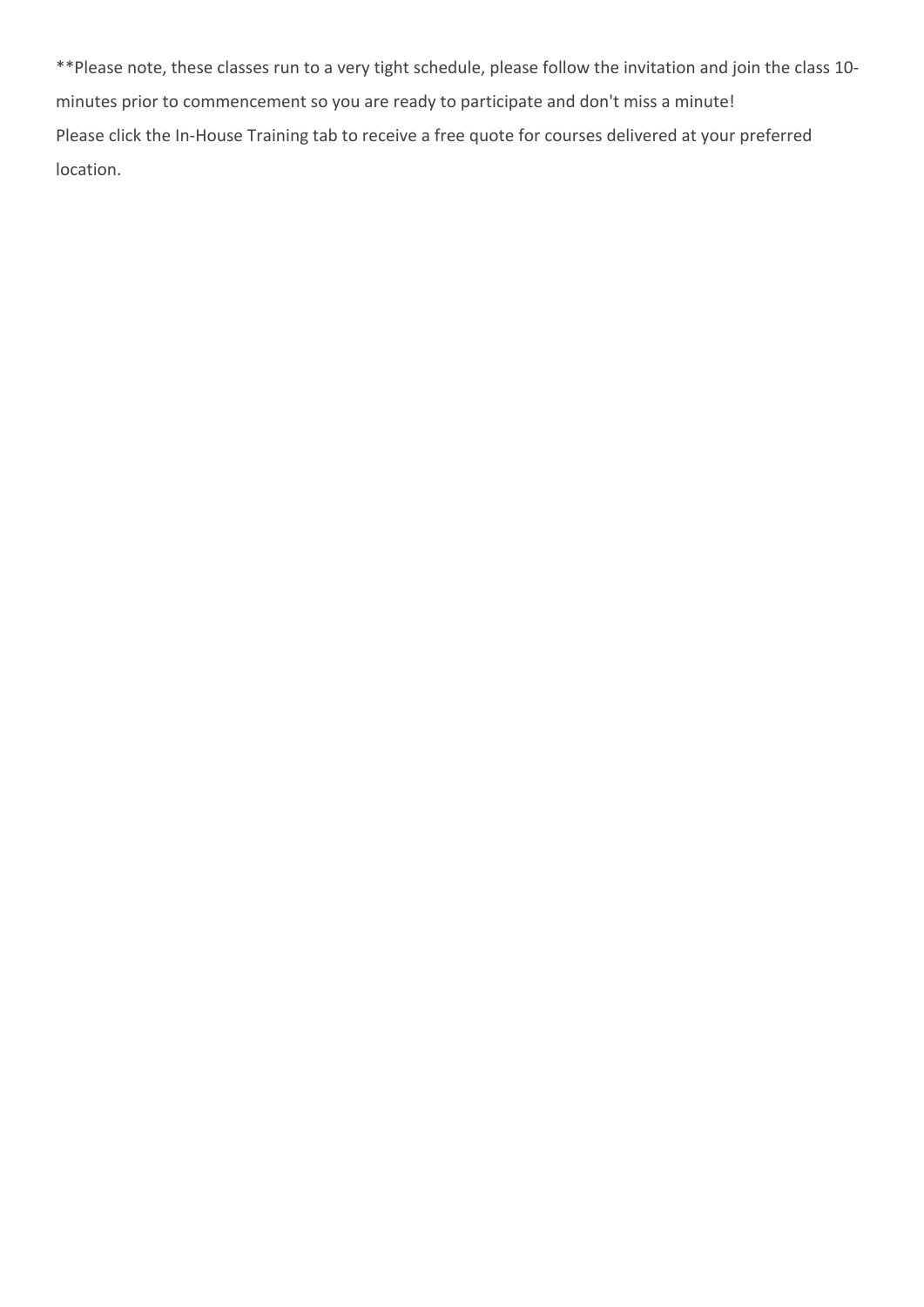\*\*Please note, these classes run to a very tight schedule, please follow the invitation and join the class 10 minutes prior to commencement so you are ready to participate and don't miss a minute! Please click the In-House Training tab to receive a free quote for courses delivered at your preferred location.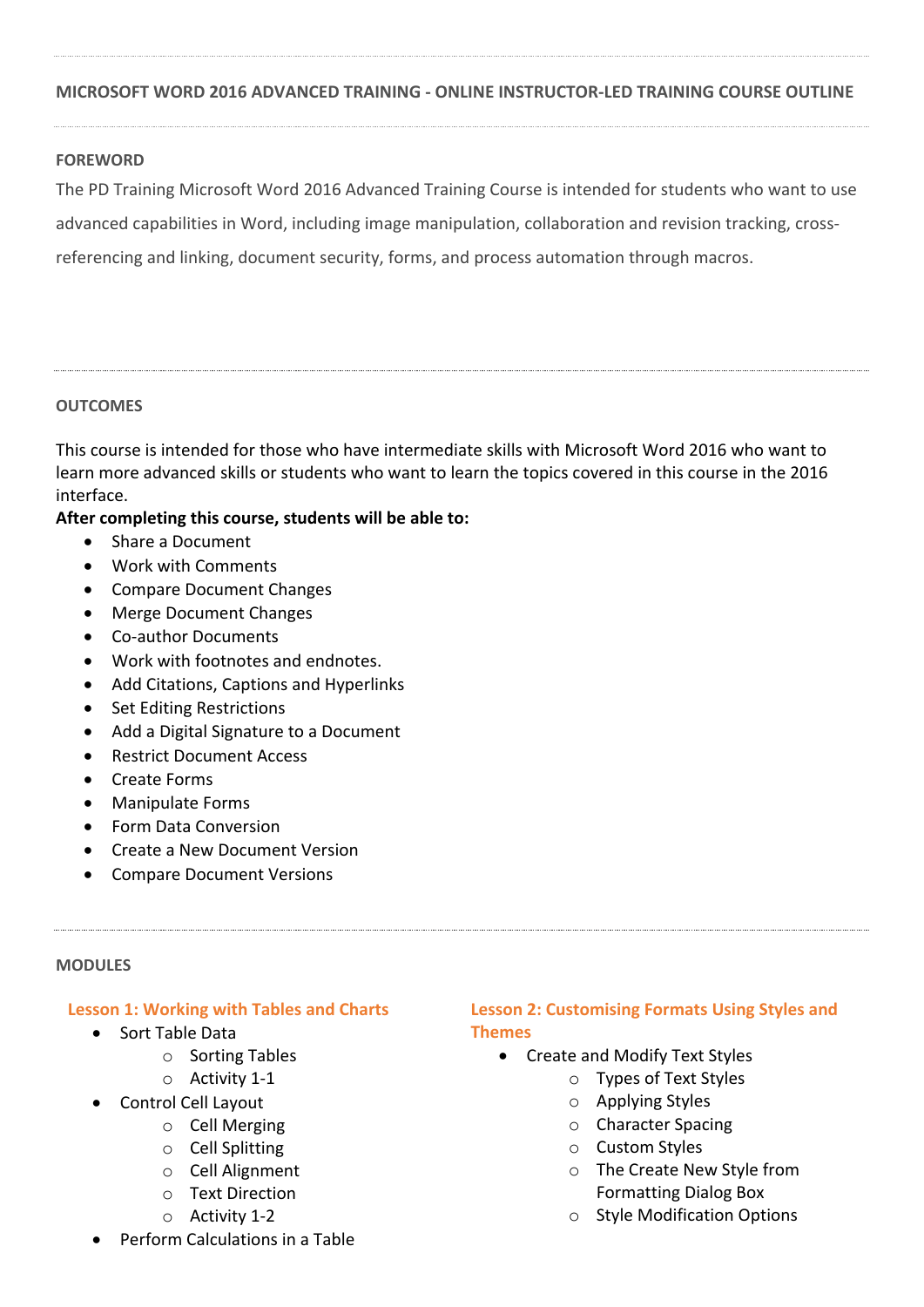## **MICROSOFT WORD 2016 ADVANCED TRAINING - ONLINE INSTRUCTOR-LED TRAINING COURSE OUTLINE**

## **FOREWORD**

The PD Training Microsoft Word 2016 Advanced Training Course is intended for students who want to use advanced capabilities in Word, including image manipulation, collaboration and revision tracking, crossreferencing and linking, document security, forms, and process automation through macros.

#### **OUTCOMES**

This course is intended for those who have intermediate skills with Microsoft Word 2016 who want to learn more advanced skills or students who want to learn the topics covered in this course in the 2016 interface.

## **After completing this course, students will be able to:**

- Share a Document
- Work with Comments
- Compare Document Changes
- Merge Document Changes
- Co-author Documents
- Work with footnotes and endnotes.
- Add Citations, Captions and Hyperlinks
- Set Editing Restrictions
- Add a Digital Signature to a Document
- Restrict Document Access
- Create Forms
- Manipulate Forms
- Form Data Conversion
- Create a New Document Version
- Compare Document Versions

#### **MODULES**

#### **Lesson 1: Working with Tables and Charts**

- Sort Table Data
	- o Sorting Tables
	- o Activity 1-1
- Control Cell Layout
	- o Cell Merging
	- o Cell Splitting
	- o Cell Alignment
	- o Text Direction
	- o Activity 1-2

## Perform Calculations in a Table

## **Lesson 2: Customising Formats Using Styles and Themes**

- Create and Modify Text Styles
	- o Types of Text Styles
	- o Applying Styles
	- o Character Spacing
	- o Custom Styles
	- o The Create New Style from Formatting Dialog Box
	- o Style Modification Options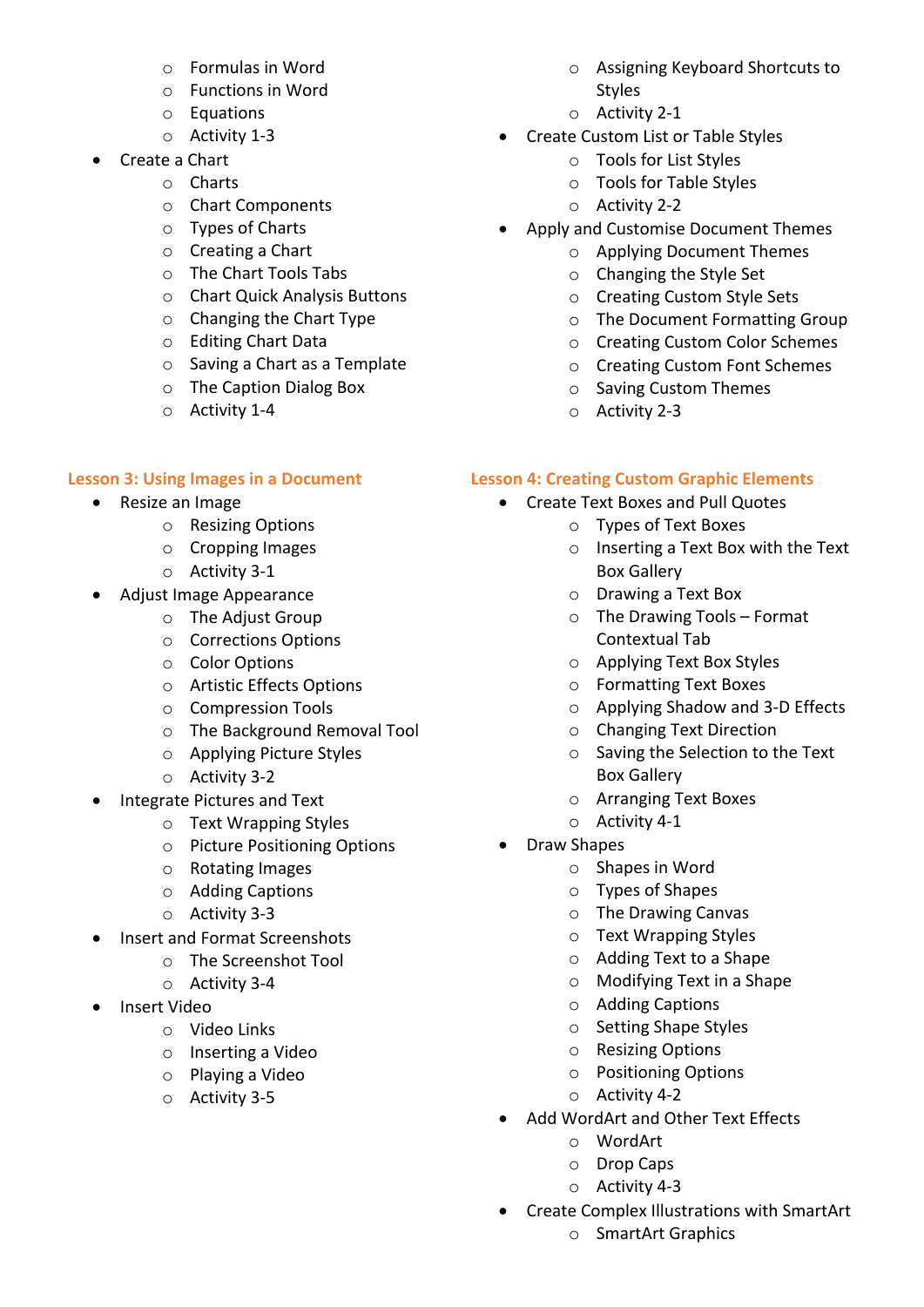- o Formulas in Word
- o Functions in Word
- o Equations
- o Activity 1-3
- Create a Chart
	- o Charts
	- o Chart Components
	- o Types of Charts
	- o Creating a Chart
	- o The Chart Tools Tabs
	- o Chart Quick Analysis Buttons
	- o Changing the Chart Type
	- o Editing Chart Data
	- o Saving a Chart as a Template
	- o The Caption Dialog Box
	- o Activity 1-4

## **Lesson 3: Using Images in a Document**

- Resize an Image
	- o Resizing Options
	- o Cropping Images
	- o Activity 3-1
- Adjust Image Appearance
	- o The Adjust Group
	- o Corrections Options
	- o Color Options
	- o Artistic Effects Options
	- o Compression Tools
	- o The Background Removal Tool
	- o Applying Picture Styles
	- o Activity 3-2
- Integrate Pictures and Text
	- o Text Wrapping Styles
	- o Picture Positioning Options
	- o Rotating Images
	- o Adding Captions
	- o Activity 3-3
- Insert and Format Screenshots
	- o The Screenshot Tool
	- o Activity 3-4
- Insert Video
	- o Video Links
	- o Inserting a Video
	- o Playing a Video
	- o Activity 3-5
- o Assigning Keyboard Shortcuts to Styles
- o Activity 2-1
- Create Custom List or Table Styles
	- o Tools for List Styles
	- o Tools for Table Styles
	- o Activity 2-2
- Apply and Customise Document Themes
	- o Applying Document Themes
	- o Changing the Style Set
	- o Creating Custom Style Sets
	- o The Document Formatting Group
	- o Creating Custom Color Schemes
	- o Creating Custom Font Schemes
	- o Saving Custom Themes
	- o Activity 2-3

## **Lesson 4: Creating Custom Graphic Elements**

- Create Text Boxes and Pull Quotes
	- o Types of Text Boxes
	- o Inserting a Text Box with the Text Box Gallery
	- o Drawing a Text Box
	- $\circ$  The Drawing Tools Format Contextual Tab
	- o Applying Text Box Styles
	- o Formatting Text Boxes
	- o Applying Shadow and 3-D Effects
	- o Changing Text Direction
	- o Saving the Selection to the Text Box Gallery
	- o Arranging Text Boxes
	- o Activity 4-1
- Draw Shapes
	- o Shapes in Word
	- o Types of Shapes
	- o The Drawing Canvas
	- o Text Wrapping Styles
	- o Adding Text to a Shape
	- o Modifying Text in a Shape
	- o Adding Captions
	- o Setting Shape Styles
	- o Resizing Options
	- o Positioning Options
	- o Activity 4-2
- Add WordArt and Other Text Effects
	- o WordArt
	- o Drop Caps
	- o Activity 4-3
- Create Complex Illustrations with SmartArt
	- o SmartArt Graphics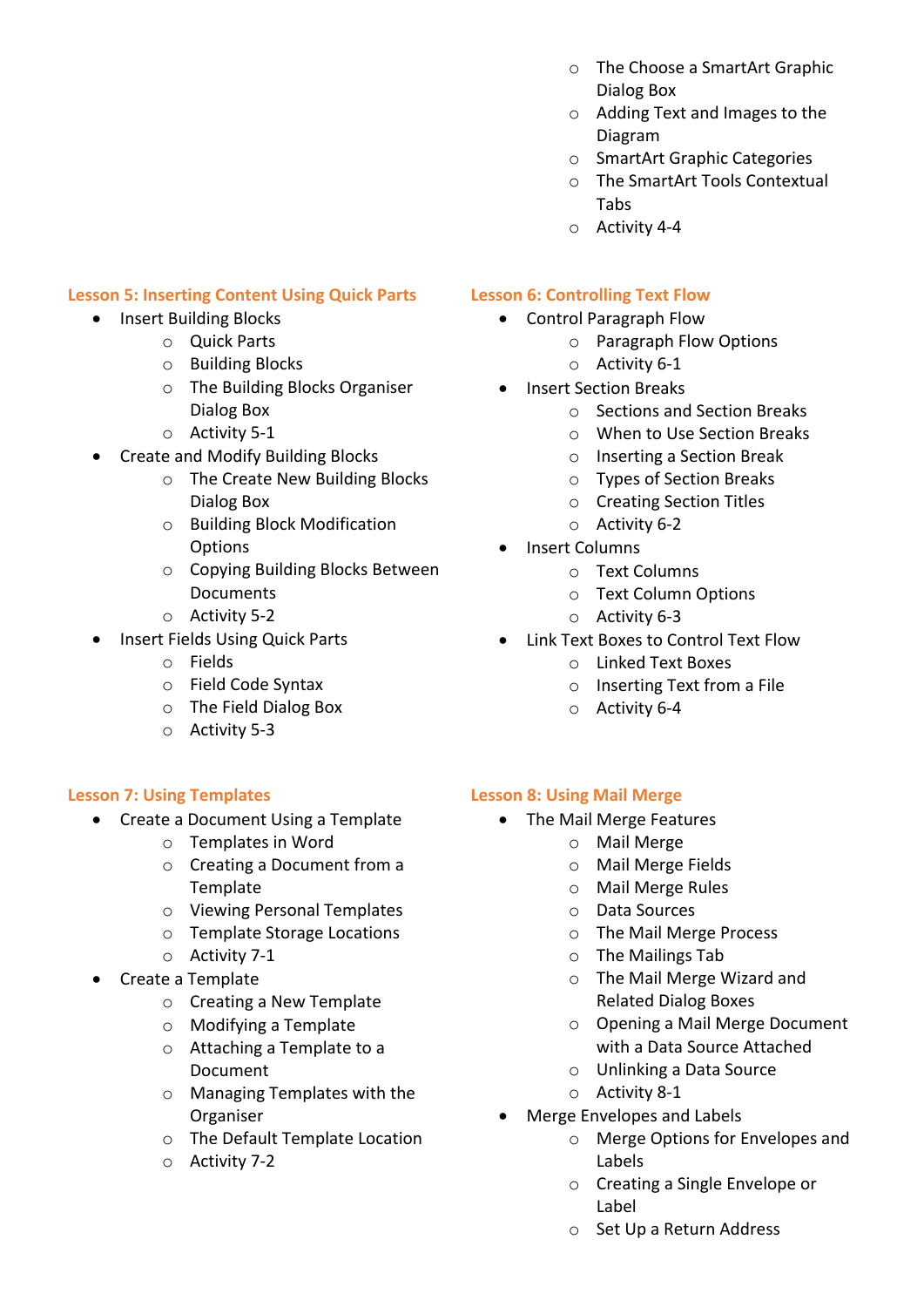- o The Choose a SmartArt Graphic Dialog Box
- o Adding Text and Images to the Diagram
- o SmartArt Graphic Categories
- o The SmartArt Tools Contextual Tabs
- o Activity 4-4

# **Lesson 5: Inserting Content Using Quick Parts**

- Insert Building Blocks
	- o Quick Parts
	- o Building Blocks
	- o The Building Blocks Organiser Dialog Box
	- o Activity 5-1
- Create and Modify Building Blocks
	- o The Create New Building Blocks Dialog Box
	- o Building Block Modification **Options**
	- o Copying Building Blocks Between **Documents**
	- o Activity 5-2
- Insert Fields Using Quick Parts
	- o Fields
	- o Field Code Syntax
	- o The Field Dialog Box
	- o Activity 5-3

# **Lesson 7: Using Templates**

- Create a Document Using a Template
	- o Templates in Word
	- o Creating a Document from a Template
	- o Viewing Personal Templates
	- o Template Storage Locations
	- o Activity 7-1
- Create a Template
	- o Creating a New Template
	- o Modifying a Template
	- o Attaching a Template to a Document
	- o Managing Templates with the Organiser
	- o The Default Template Location
	- o Activity 7-2

# **Lesson 6: Controlling Text Flow**

- Control Paragraph Flow
	- o Paragraph Flow Options
	- o Activity 6-1
- Insert Section Breaks
	- o Sections and Section Breaks
	- o When to Use Section Breaks
	- o Inserting a Section Break
	- o Types of Section Breaks
	- o Creating Section Titles
	- o Activity 6-2
- Insert Columns
	- o Text Columns
	- o Text Column Options
	- o Activity 6-3
- Link Text Boxes to Control Text Flow
	- o Linked Text Boxes
	- o Inserting Text from a File
	- o Activity 6-4

# **Lesson 8: Using Mail Merge**

- The Mail Merge Features
	- o Mail Merge
	- o Mail Merge Fields
		- o Mail Merge Rules
	- o Data Sources
	- o The Mail Merge Process
	- o The Mailings Tab
	- o The Mail Merge Wizard and Related Dialog Boxes
	- o Opening a Mail Merge Document with a Data Source Attached
	- o Unlinking a Data Source
	- o Activity 8-1
- Merge Envelopes and Labels
	- o Merge Options for Envelopes and Labels
	- o Creating a Single Envelope or Label
	- o Set Up a Return Address